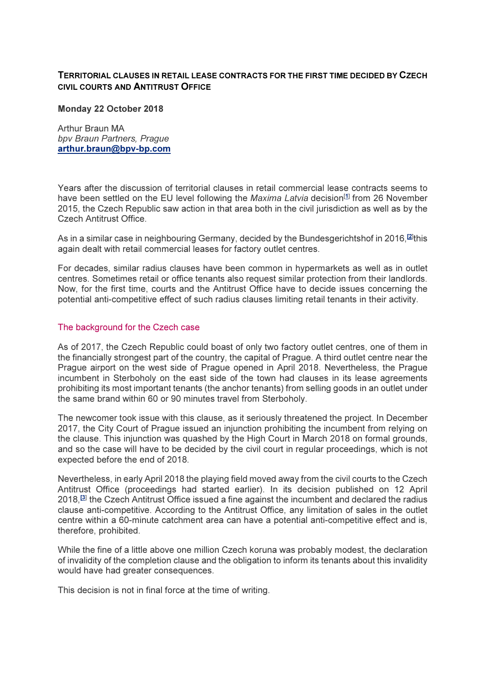## TERRITORIAL CLAUSES IN RETAIL LEASE CONTRACTS FOR THE FIRST TIME DECIDED BY CZECH CIVIL COURTS AND ANTITRUST OFFICE

#### Monday 22 October 2018

Arthur Braun MA bpv Braun Partners, Prague arthur.braun@bpv-bp.com

Years after the discussion of territorial clauses in retail commercial lease contracts seems to have been settled on the EU level following the Maxima Latvia decision<sup>[1]</sup> from 26 November 2015, the Czech Republic saw action in that area both in the civil jurisdiction as well as by the Czech Antitrust Office.

As in a similar case in neighbouring Germany, decided by the Bundesgerichtshof in 2016,<sup>[2]</sup>this again dealt with retail commercial leases for factory outlet centres.

For decades, similar radius clauses have been common in hypermarkets as well as in outlet centres. Sometimes retail or office tenants also request similar protection from their landlords. Now, for the first time, courts and the Antitrust Office have to decide issues concerning the potential anti-competitive effect of such radius clauses limiting retail tenants in their activity.

### The background for the Czech case

As of 2017, the Czech Republic could boast of only two factory outlet centres, one of them in the financially strongest part of the country, the capital of Prague. A third outlet centre near the Prague airport on the west side of Prague opened in April 2018. Nevertheless, the Prague incumbent in Sterboholy on the east side of the town had clauses in its lease agreements prohibiting its most important tenants (the anchor tenants) from selling goods in an outlet under the same brand within 60 or 90 minutes travel from Sterboholy.

The newcomer took issue with this clause, as it seriously threatened the project. In December 2017, the City Court of Prague issued an injunction prohibiting the incumbent from relying on the clause. This injunction was quashed by the High Court in March 2018 on formal grounds, and so the case will have to be decided by the civil court in regular proceedings, which is not expected before the end of 2018.

Nevertheless, in early April 2018 the playing field moved away from the civil courts to the Czech Antitrust Office (proceedings had started earlier). In its decision published on 12 April 2018,[3] the Czech Antitrust Office issued a fine against the incumbent and declared the radius clause anti-competitive. According to the Antitrust Office, any limitation of sales in the outlet centre within a 60-minute catchment area can have a potential anti-competitive effect and is, therefore, prohibited.

While the fine of a little above one million Czech koruna was probably modest, the declaration of invalidity of the completion clause and the obligation to inform its tenants about this invalidity would have had greater consequences.

This decision is not in final force at the time of writing.